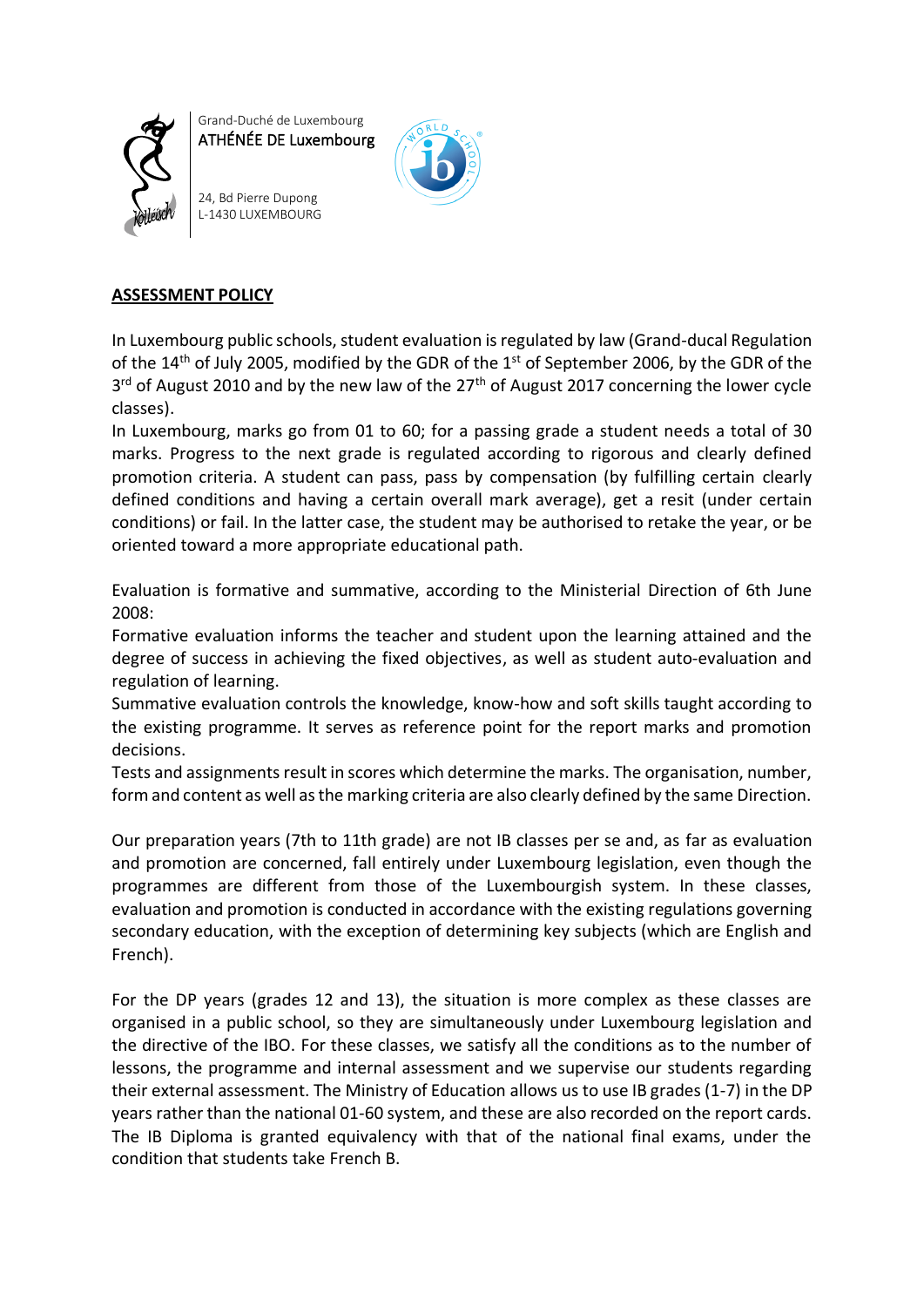

Grand-Duché de Luxembourg ATHÉNÉE DE Luxembourg

24, Bd Pierre Dupong L-1430 LUXEMBOURG



## **ASSESSMENT POLICY**

In Luxembourg public schools, student evaluation is regulated by law (Grand-ducal Regulation of the 14<sup>th</sup> of July 2005, modified by the GDR of the 1<sup>st</sup> of September 2006, by the GDR of the 3<sup>rd</sup> of August 2010 and by the new law of the 27<sup>th</sup> of August 2017 concerning the lower cycle classes).

In Luxembourg, marks go from 01 to 60; for a passing grade a student needs a total of 30 marks. Progress to the next grade is regulated according to rigorous and clearly defined promotion criteria. A student can pass, pass by compensation (by fulfilling certain clearly defined conditions and having a certain overall mark average), get a resit (under certain conditions) or fail. In the latter case, the student may be authorised to retake the year, or be oriented toward a more appropriate educational path.

Evaluation is formative and summative, according to the Ministerial Direction of 6th June 2008:

Formative evaluation informs the teacher and student upon the learning attained and the degree of success in achieving the fixed objectives, as well as student auto-evaluation and regulation of learning.

Summative evaluation controls the knowledge, know-how and soft skills taught according to the existing programme. It serves as reference point for the report marks and promotion decisions.

Tests and assignments result in scores which determine the marks. The organisation, number, form and content as well as the marking criteria are also clearly defined by the same Direction.

Our preparation years (7th to 11th grade) are not IB classes per se and, as far as evaluation and promotion are concerned, fall entirely under Luxembourg legislation, even though the programmes are different from those of the Luxembourgish system. In these classes, evaluation and promotion is conducted in accordance with the existing regulations governing secondary education, with the exception of determining key subjects (which are English and French).

For the DP years (grades 12 and 13), the situation is more complex as these classes are organised in a public school, so they are simultaneously under Luxembourg legislation and the directive of the IBO. For these classes, we satisfy all the conditions as to the number of lessons, the programme and internal assessment and we supervise our students regarding their external assessment. The Ministry of Education allows us to use IB grades (1-7) in the DP years rather than the national 01-60 system, and these are also recorded on the report cards. The IB Diploma is granted equivalency with that of the national final exams, under the condition that students take French B.